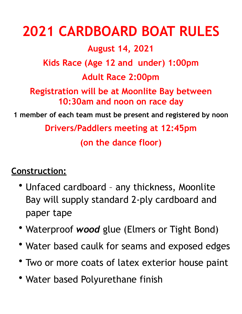## **2021 CARDBOARD BOAT RULES August 14, 2021 Kids Race (Age 12 and under) 1:00pm Adult Race 2:00pm Registration will be at Moonlite Bay between 10:30am and noon on race day 1 member of each team must be present and registered by noon Drivers/Paddlers meeting at 12:45pm (on the dance floor)**

## **Construction:**

- Unfaced cardboard any thickness, Moonlite Bay will supply standard 2-ply cardboard and paper tape
- % Waterproof *wood* glue (Elmers or Tight Bond)
- Water based caulk for seams and exposed edges
- Two or more coats of latex exterior house paint
- Water based Polyurethane finish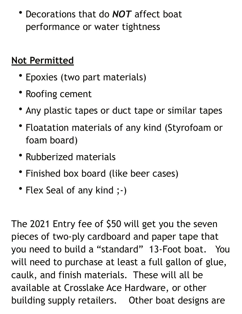• Decorations that do *NOT* affect boat performance or water tightness

## **Not Permitted**

- Epoxies (two part materials)
- Roofing cement
- Any plastic tapes or duct tape or similar tapes
- Floatation materials of any kind (Styrofoam or foam board)
- Rubberized materials
- Finished box board (like beer cases)
- Flex Seal of any kind ;-)

The 2021 Entry fee of \$50 will get you the seven pieces of two-ply cardboard and paper tape that you need to build a "standard" 13-Foot boat. You will need to purchase at least a full gallon of glue, caulk, and finish materials. These will all be available at Crosslake Ace Hardware, or other building supply retailers. Other boat designs are